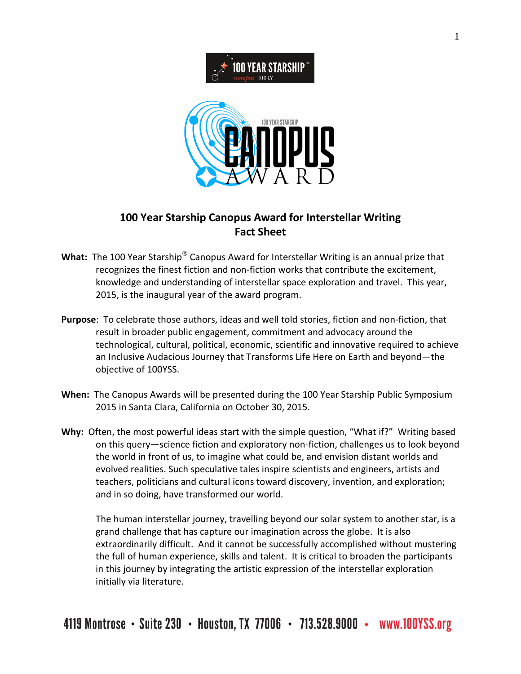

## **100 Year Starship Canopus Award for Interstellar Writing Fact Sheet**

- **What:** The 100 Year Starship® Canopus Award for Interstellar Writing is an annual prize that recognizes the finest fiction and non-fiction works that contribute the excitement, knowledge and understanding of interstellar space exploration and travel. This year, 2015, is the inaugural year of the award program.
- **Purpose**: To celebrate those authors, ideas and well told stories, fiction and non-fiction, that result in broader public engagement, commitment and advocacy around the technological, cultural, political, economic, scientific and innovative required to achieve an Inclusive Audacious Journey that Transforms Life Here on Earth and beyond—the objective of 100YSS.
- **When:** The Canopus Awards will be presented during the 100 Year Starship Public Symposium 2015 in Santa Clara, California on October 30, 2015.
- **Why:** Often, the most powerful ideas start with the simple question, "What if?" Writing based on this query—science fiction and exploratory non-fiction, challenges us to look beyond the world in front of us, to imagine what could be, and envision distant worlds and evolved realities. Such speculative tales inspire scientists and engineers, artists and teachers, politicians and cultural icons toward discovery, invention, and exploration; and in so doing, have transformed our world.

The human interstellar journey, travelling beyond our solar system to another star, is a grand challenge that has capture our imagination across the globe. It is also extraordinarily difficult. And it cannot be successfully accomplished without mustering the full of human experience, skills and talent. It is critical to broaden the participants in this journey by integrating the artistic expression of the interstellar exploration initially via literature.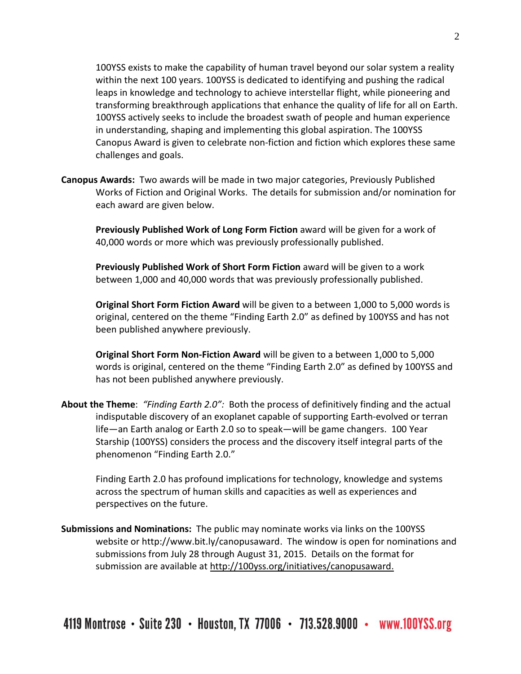100YSS exists to make the capability of human travel beyond our solar system a reality within the next 100 years. 100YSS is dedicated to identifying and pushing the radical leaps in knowledge and technology to achieve interstellar flight, while pioneering and transforming breakthrough applications that enhance the quality of life for all on Earth. 100YSS actively seeks to include the broadest swath of people and human experience in understanding, shaping and implementing this global aspiration. The 100YSS Canopus Award is given to celebrate non-fiction and fiction which explores these same challenges and goals.

**Canopus Awards:** Two awards will be made in two major categories, Previously Published Works of Fiction and Original Works. The details for submission and/or nomination for each award are given below.

**Previously Published Work of Long Form Fiction** award will be given for a work of 40,000 words or more which was previously professionally published.

**Previously Published Work of Short Form Fiction** award will be given to a work between 1,000 and 40,000 words that was previously professionally published.

**Original Short Form Fiction Award** will be given to a between 1,000 to 5,000 words is original, centered on the theme "Finding Earth 2.0" as defined by 100YSS and has not been published anywhere previously.

**Original Short Form Non-Fiction Award** will be given to a between 1,000 to 5,000 words is original, centered on the theme "Finding Earth 2.0" as defined by 100YSS and has not been published anywhere previously.

**About the Theme**: *"Finding Earth 2.0":* Both the process of definitively finding and the actual indisputable discovery of an exoplanet capable of supporting Earth-evolved or terran life—an Earth analog or Earth 2.0 so to speak—will be game changers. 100 Year Starship (100YSS) considers the process and the discovery itself integral parts of the phenomenon "Finding Earth 2.0."

Finding Earth 2.0 has profound implications for technology, knowledge and systems across the spectrum of human skills and capacities as well as experiences and perspectives on the future.

**Submissions and Nominations:** The public may nominate works via links on the 100YSS website or http:/[/www.bit.ly/canopusaward.](http://www.bit.ly/canopusaward) The window is open for nominations and submissions from July 28 through August 31, 2015. Details on the format for submission are available at [http://100yss.org/initiatives/canopusaward.](http://100yss.org/initiatives/canopusaward)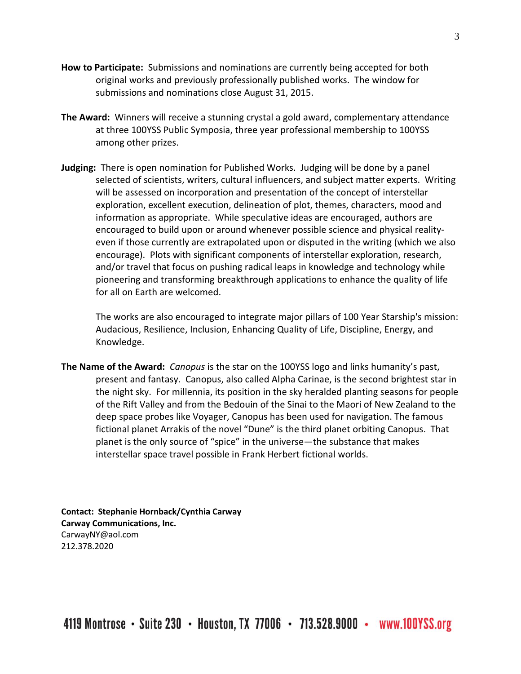- **How to Participate:** Submissions and nominations are currently being accepted for both original works and previously professionally published works. The window for submissions and nominations close August 31, 2015.
- **The Award:** Winners will receive a stunning crystal a gold award, complementary attendance at three 100YSS Public Symposia, three year professional membership to 100YSS among other prizes.
- **Judging:** There is open nomination for Published Works. Judging will be done by a panel selected of scientists, writers, cultural influencers, and subject matter experts. Writing will be assessed on incorporation and presentation of the concept of interstellar exploration, excellent execution, delineation of plot, themes, characters, mood and information as appropriate. While speculative ideas are encouraged, authors are encouraged to build upon or around whenever possible science and physical realityeven if those currently are extrapolated upon or disputed in the writing (which we also encourage). Plots with significant components of interstellar exploration, research, and/or travel that focus on pushing radical leaps in knowledge and technology while pioneering and transforming breakthrough applications to enhance the quality of life for all on Earth are welcomed.

The works are also encouraged to integrate major pillars of 100 Year Starship's mission: Audacious, Resilience, Inclusion, Enhancing Quality of Life, Discipline, Energy, and Knowledge.

**The Name of the Award:** *Canopus* is the star on the 100YSS logo and links humanity's past, present and fantasy. Canopus, also called Alpha Carinae, is the second brightest star in the night sky. For millennia, its position in the sky heralded planting seasons for people of the Rift Valley and from the Bedouin of the Sinai to the Maori of New Zealand to the deep space probes like Voyager, Canopus has been used for navigation. The famous fictional planet Arrakis of the novel "Dune" is the third planet orbiting Canopus. That planet is the only source of "spice" in the universe—the substance that makes interstellar space travel possible in Frank Herbert fictional worlds.

**Contact: Stephanie Hornback/Cynthia Carway Carway Communications, Inc.** [CarwayNY@aol.com](mailto:CarwayNY@aol.com) 212.378.2020

4119 Montrose • Suite 230 • Houston, TX 77006 • 713.528.9000 • www.100YSS.org